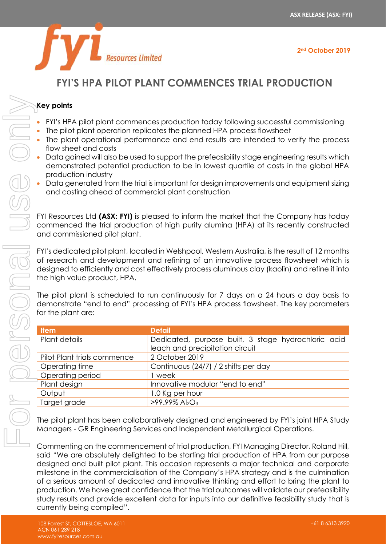

## **FYI'S HPA PILOT PLANT COMMENCES TRIAL PRODUCTION**

## **Key points**

- FYI's HPA pilot plant commences production today following successful commissioning
- The pilot plant operation replicates the planned HPA process flowsheet
- The plant operational performance and end results are intended to verify the process flow sheet and costs
- Data gained will also be used to support the prefeasibility stage engineering results which demonstrated potential production to be in lowest quartile of costs in the global HPA production industry
- Data generated from the trial is important for design improvements and equipment sizing and costing ahead of commercial plant construction

FYI Resources Ltd **(ASX: FYI)** is pleased to inform the market that the Company has today commenced the trial production of high purity alumina (HPA) at its recently constructed and commissioned pilot plant.

FYI's dedicated pilot plant, located in Welshpool, Western Australia, is the result of 12 months of research and development and refining of an innovative process flowsheet which is designed to efficiently and cost effectively process aluminous clay (kaolin) and refine it into the high value product, HPA.

The pilot plant is scheduled to run continuously for 7 days on a 24 hours a day basis to demonstrate "end to end" processing of FYI's HPA process flowsheet. The key parameters for the plant are:

| <b>Item</b>                 | <b>Detail</b>                                       |
|-----------------------------|-----------------------------------------------------|
| Plant details               | Dedicated, purpose built, 3 stage hydrochloric acid |
|                             | leach and precipitation circuit                     |
| Pilot Plant trials commence | 2 October 2019                                      |
| Operating time              | Continuous (24/7) / 2 shifts per day                |
| Operating period            | l week                                              |
| Plant design                | Innovative modular "end to end"                     |
| Output                      | 1.0 Kg per hour                                     |
| Target grade                | $>99.99\%$ Al <sub>2</sub> O <sub>3</sub>           |

The pilot plant has been collaboratively designed and engineered by FYI's joint HPA Study Managers - GR Engineering Services and Independent Metallurgical Operations.

Commenting on the commencement of trial production, FYI Managing Director, Roland Hill, said "We are absolutely delighted to be starting trial production of HPA from our purpose designed and built pilot plant. This occasion represents a major technical and corporate milestone in the commercialisation of the Company's HPA strategy and is the culmination of a serious amount of dedicated and innovative thinking and effort to bring the plant to production. We have great confidence that the trial outcomes will validate our prefeasibility study results and provide excellent data for inputs into our definitive feasibility study that is